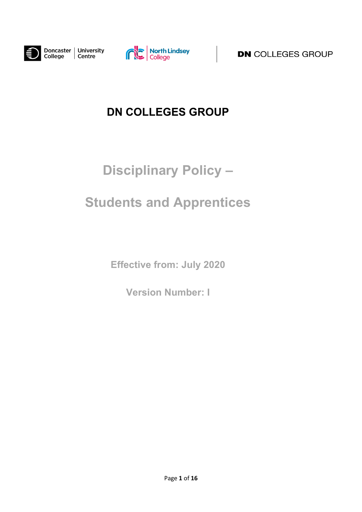



**DN** COLLEGES GROUP

## **DN COLLEGES GROUP**

# **Disciplinary Policy –**

## **Students and Apprentices**

**Effective from: July 2020**

**Version Number: I**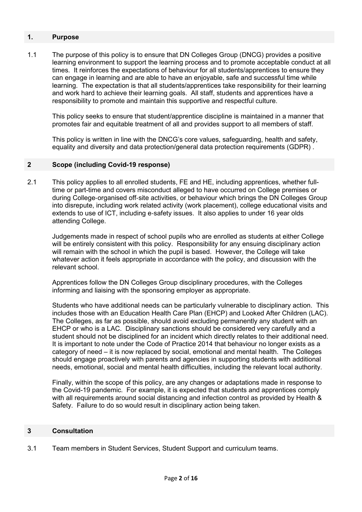### **1. Purpose**

1.1 The purpose of this policy is to ensure that DN Colleges Group (DNCG) provides a positive learning environment to support the learning process and to promote acceptable conduct at all times. It reinforces the expectations of behaviour for all students/apprentices to ensure they can engage in learning and are able to have an enjoyable, safe and successful time while learning. The expectation is that all students/apprentices take responsibility for their learning and work hard to achieve their learning goals. All staff, students and apprentices have a responsibility to promote and maintain this supportive and respectful culture.

This policy seeks to ensure that student/apprentice discipline is maintained in a manner that promotes fair and equitable treatment of all and provides support to all members of staff.

This policy is written in line with the DNCG's core values, safeguarding, health and safety, equality and diversity and data protection/general data protection requirements (GDPR) .

### **2 Scope (including Covid-19 response)**

2.1 This policy applies to all enrolled students, FE and HE, including apprentices, whether fulltime or part-time and covers misconduct alleged to have occurred on College premises or during College‐organised off‐site activities, or behaviour which brings the DN Colleges Group into disrepute, including work related activity (work placement), college educational visits and extends to use of ICT, including e-safety issues. It also applies to under 16 year olds attending College.

Judgements made in respect of school pupils who are enrolled as students at either College will be entirely consistent with this policy. Responsibility for any ensuing disciplinary action will remain with the school in which the pupil is based. However, the College will take whatever action it feels appropriate in accordance with the policy, and discussion with the relevant school.

Apprentices follow the DN Colleges Group disciplinary procedures, with the Colleges informing and liaising with the sponsoring employer as appropriate.

Students who have additional needs can be particularly vulnerable to disciplinary action. This includes those with an Education Health Care Plan (EHCP) and Looked After Children (LAC). The Colleges, as far as possible, should avoid excluding permanently any student with an EHCP or who is a LAC. Disciplinary sanctions should be considered very carefully and a student should not be disciplined for an incident which directly relates to their additional need. It is important to note under the Code of Practice 2014 that behaviour no longer exists as a category of need – it is now replaced by social, emotional and mental health. The Colleges should engage proactively with parents and agencies in supporting students with additional needs, emotional, social and mental health difficulties, including the relevant local authority.

Finally, within the scope of this policy, are any changes or adaptations made in response to the Covid-19 pandemic. For example, it is expected that students and apprentices comply with all requirements around social distancing and infection control as provided by Health & Safety. Failure to do so would result in disciplinary action being taken.

#### **3 Consultation**

3.1 Team members in Student Services, Student Support and curriculum teams.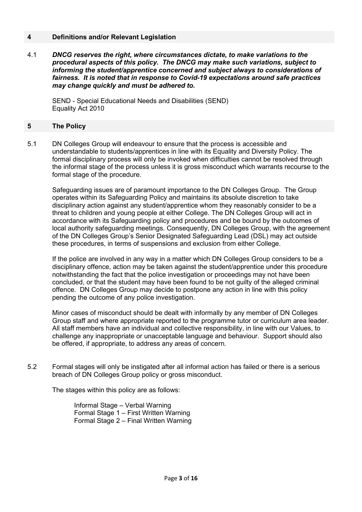#### **4 Definitions and/or Relevant Legislation**

4.1 *DNCG reserves the right, where circumstances dictate, to make variations to the procedural aspects of this policy. The DNCG may make such variations, subject to informing the student/apprentice concerned and subject always to considerations of fairness. It is noted that in response to Covid-19 expectations around safe practices may change quickly and must be adhered to.*

SEND - Special Educational Needs and Disabilities (SEND) Equality Act 2010

#### **5 The Policy**

5.1 DN Colleges Group will endeavour to ensure that the process is accessible and understandable to students/apprentices in line with its Equality and Diversity Policy. The formal disciplinary process will only be invoked when difficulties cannot be resolved through the informal stage of the process unless it is gross misconduct which warrants recourse to the formal stage of the procedure.

Safeguarding issues are of paramount importance to the DN Colleges Group. The Group operates within its Safeguarding Policy and maintains its absolute discretion to take disciplinary action against any student/apprentice whom they reasonably consider to be a threat to children and young people at either College. The DN Colleges Group will act in accordance with its Safeguarding policy and procedures and be bound by the outcomes of local authority safeguarding meetings. Consequently, DN Colleges Group, with the agreement of the DN Colleges Group's Senior Designated Safeguarding Lead (DSL) may act outside these procedures, in terms of suspensions and exclusion from either College.

If the police are involved in any way in a matter which DN Colleges Group considers to be a disciplinary offence, action may be taken against the student/apprentice under this procedure notwithstanding the fact that the police investigation or proceedings may not have been concluded, or that the student may have been found to be not guilty of the alleged criminal offence. DN Colleges Group may decide to postpone any action in line with this policy pending the outcome of any police investigation.

Minor cases of misconduct should be dealt with informally by any member of DN Colleges Group staff and where appropriate reported to the programme tutor or curriculum area leader. All staff members have an individual and collective responsibility, in line with our Values, to challenge any inappropriate or unacceptable language and behaviour. Support should also be offered, if appropriate, to address any areas of concern.

5.2 Formal stages will only be instigated after all informal action has failed or there is a serious breach of DN Colleges Group policy or gross misconduct.

The stages within this policy are as follows:

Informal Stage – Verbal Warning Formal Stage 1 – First Written Warning Formal Stage 2 – Final Written Warning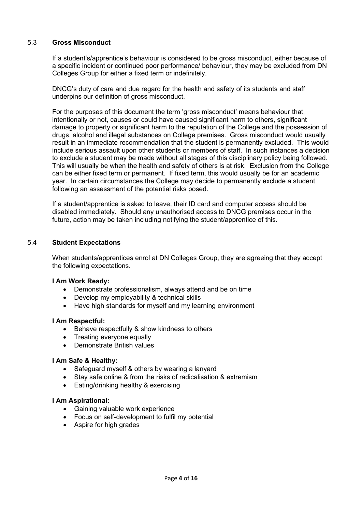## 5.3 **Gross Misconduct**

If a student's/apprentice's behaviour is considered to be gross misconduct, either because of a specific incident or continued poor performance/ behaviour, they may be excluded from DN Colleges Group for either a fixed term or indefinitely.

DNCG's duty of care and due regard for the health and safety of its students and staff underpins our definition of gross misconduct.

For the purposes of this document the term 'gross misconduct' means behaviour that, intentionally or not, causes or could have caused significant harm to others, significant damage to property or significant harm to the reputation of the College and the possession of drugs, alcohol and illegal substances on College premises. Gross misconduct would usually result in an immediate recommendation that the student is permanently excluded. This would include serious assault upon other students or members of staff. In such instances a decision to exclude a student may be made without all stages of this disciplinary policy being followed. This will usually be when the health and safety of others is at risk. Exclusion from the College can be either fixed term or permanent. If fixed term, this would usually be for an academic year. In certain circumstances the College may decide to permanently exclude a student following an assessment of the potential risks posed.

If a student/apprentice is asked to leave, their ID card and computer access should be disabled immediately. Should any unauthorised access to DNCG premises occur in the future, action may be taken including notifying the student/apprentice of this.

#### 5.4 **Student Expectations**

When students/apprentices enrol at DN Colleges Group, they are agreeing that they accept the following expectations.

#### **I Am Work Ready:**

- Demonstrate professionalism, always attend and be on time
- Develop my employability & technical skills
- Have high standards for myself and my learning environment

#### **I Am Respectful:**

- Behave respectfully & show kindness to others
- Treating everyone equally
- Demonstrate British values

#### **I Am Safe & Healthy:**

- Safeguard myself & others by wearing a lanyard
- Stay safe online & from the risks of radicalisation & extremism
- Eating/drinking healthy & exercising

#### **I Am Aspirational:**

- Gaining valuable work experience
- Focus on self-development to fulfil my potential
- Aspire for high grades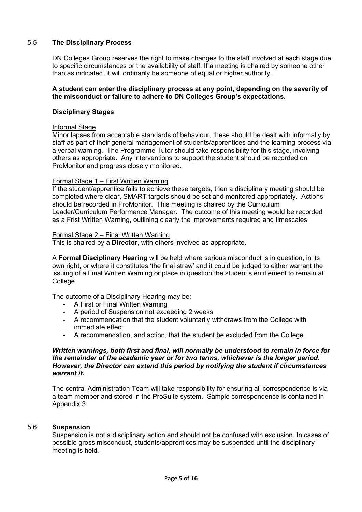## 5.5 **The Disciplinary Process**

DN Colleges Group reserves the right to make changes to the staff involved at each stage due to specific circumstances or the availability of staff. If a meeting is chaired by someone other than as indicated, it will ordinarily be someone of equal or higher authority.

#### **A student can enter the disciplinary process at any point, depending on the severity of the misconduct or failure to adhere to DN Colleges Group's expectations.**

#### **Disciplinary Stages**

#### Informal Stage

Minor lapses from acceptable standards of behaviour, these should be dealt with informally by staff as part of their general management of students/apprentices and the learning process via a verbal warning. The Programme Tutor should take responsibility for this stage, involving others as appropriate. Any interventions to support the student should be recorded on ProMonitor and progress closely monitored.

#### Formal Stage 1 – First Written Warning

If the student/apprentice fails to achieve these targets, then a disciplinary meeting should be completed where clear, SMART targets should be set and monitored appropriately. Actions should be recorded in ProMonitor. This meeting is chaired by the Curriculum Leader/Curriculum Performance Manager. The outcome of this meeting would be recorded as a Frist Written Warning, outlining clearly the improvements required and timescales.

#### Formal Stage 2 – Final Written Warning

This is chaired by a **Director,** with others involved as appropriate.

A **Formal Disciplinary Hearing** will be held where serious misconduct is in question, in its own right, or where it constitutes 'the final straw' and it could be judged to either warrant the issuing of a Final Written Warning or place in question the student's entitlement to remain at College.

The outcome of a Disciplinary Hearing may be:

- A First or Final Written Warning
- A period of Suspension not exceeding 2 weeks
- A recommendation that the student voluntarily withdraws from the College with immediate effect
- A recommendation, and action, that the student be excluded from the College.

#### *Written warnings, both first and final, will normally be understood to remain in force for the remainder of the academic year or for two terms, whichever is the longer period. However, the Director can extend this period by notifying the student if circumstances warrant it.*

The central Administration Team will take responsibility for ensuring all correspondence is via a team member and stored in the ProSuite system. Sample correspondence is contained in Appendix 3.

#### 5.6 **Suspension**

Suspension is not a disciplinary action and should not be confused with exclusion. In cases of possible gross misconduct, students/apprentices may be suspended until the disciplinary meeting is held.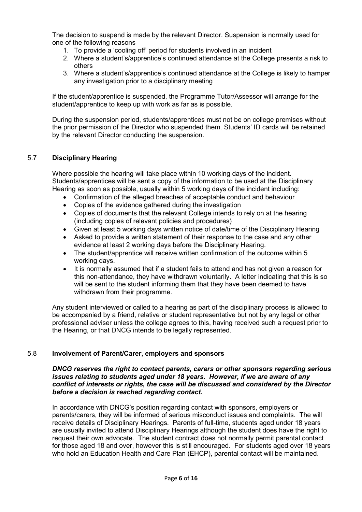The decision to suspend is made by the relevant Director. Suspension is normally used for one of the following reasons

- 1. To provide a 'cooling off' period for students involved in an incident
- 2. Where a student's/apprentice's continued attendance at the College presents a risk to others
- 3. Where a student's/apprentice's continued attendance at the College is likely to hamper any investigation prior to a disciplinary meeting

If the student/apprentice is suspended, the Programme Tutor/Assessor will arrange for the student/apprentice to keep up with work as far as is possible.

During the suspension period, students/apprentices must not be on college premises without the prior permission of the Director who suspended them. Students' ID cards will be retained by the relevant Director conducting the suspension.

## 5.7 **Disciplinary Hearing**

Where possible the hearing will take place within 10 working days of the incident. Students/apprentices will be sent a copy of the information to be used at the Disciplinary Hearing as soon as possible, usually within 5 working days of the incident including:

- Confirmation of the alleged breaches of acceptable conduct and behaviour
- Copies of the evidence gathered during the investigation
- Copies of documents that the relevant College intends to rely on at the hearing (including copies of relevant policies and procedures)
- Given at least 5 working days written notice of date/time of the Disciplinary Hearing
- Asked to provide a written statement of their response to the case and any other evidence at least 2 working days before the Disciplinary Hearing.
- The student/apprentice will receive written confirmation of the outcome within 5 working days.
- It is normally assumed that if a student fails to attend and has not given a reason for this non-attendance, they have withdrawn voluntarily. A letter indicating that this is so will be sent to the student informing them that they have been deemed to have withdrawn from their programme.

Any student interviewed or called to a hearing as part of the disciplinary process is allowed to be accompanied by a friend, relative or student representative but not by any legal or other professional adviser unless the college agrees to this, having received such a request prior to the Hearing, or that DNCG intends to be legally represented.

## 5.8 **Involvement of Parent/Carer, employers and sponsors**

#### *DNCG reserves the right to contact parents, carers or other sponsors regarding serious issues relating to students aged under 18 years. However, if we are aware of any conflict of interests or rights, the case will be discussed and considered by the Director before a decision is reached regarding contact.*

In accordance with DNCG's position regarding contact with sponsors, employers or parents/carers, they will be informed of serious misconduct issues and complaints. The will receive details of Disciplinary Hearings. Parents of full-time, students aged under 18 years are usually invited to attend Disciplinary Hearings although the student does have the right to request their own advocate. The student contract does not normally permit parental contact for those aged 18 and over, however this is still encouraged. For students aged over 18 years who hold an Education Health and Care Plan (EHCP), parental contact will be maintained.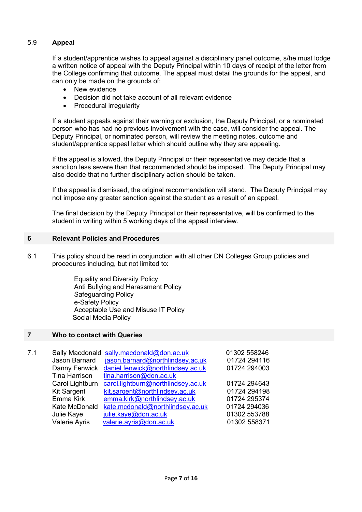## 5.9 **Appeal**

If a student/apprentice wishes to appeal against a disciplinary panel outcome, s/he must lodge a written notice of appeal with the Deputy Principal within 10 days of receipt of the letter from the College confirming that outcome. The appeal must detail the grounds for the appeal, and can only be made on the grounds of:

- New evidence
- Decision did not take account of all relevant evidence
- Procedural irregularity

If a student appeals against their warning or exclusion, the Deputy Principal, or a nominated person who has had no previous involvement with the case, will consider the appeal. The Deputy Principal, or nominated person, will review the meeting notes, outcome and student/apprentice appeal letter which should outline why they are appealing.

If the appeal is allowed, the Deputy Principal or their representative may decide that a sanction less severe than that recommended should be imposed. The Deputy Principal may also decide that no further disciplinary action should be taken.

If the appeal is dismissed, the original recommendation will stand. The Deputy Principal may not impose any greater sanction against the student as a result of an appeal.

The final decision by the Deputy Principal or their representative, will be confirmed to the student in writing within 5 working days of the appeal interview.

#### **6 Relevant Policies and Procedures**

6.1 This policy should be read in conjunction with all other DN Colleges Group policies and procedures including, but not limited to:

> Equality and Diversity Policy Anti Bullying and Harassment Policy Safeguarding Policy e-Safety Policy Acceptable Use and Misuse IT Policy Social Media Policy

#### **7 Who to contact with Queries**

| 7.1 |                    | Sally Macdonald sally.macdonald@don.ac.uk | 01302 558246 |
|-----|--------------------|-------------------------------------------|--------------|
|     | Jason Barnard      | jason.barnard@northlindsey.ac.uk          | 01724 294116 |
|     | Danny Fenwick      | daniel.fenwick@northlindsey.ac.uk         | 01724 294003 |
|     | Tina Harrison      | tina.harrison@don.ac.uk                   |              |
|     | Carol Lightburn    | carol.lightburn@northlindsey.ac.uk        | 01724 294643 |
|     | <b>Kit Sargent</b> | kit.sargent@northlindsey.ac.uk            | 01724 294198 |
|     | Emma Kirk          | emma.kirk@northlindsey.ac.uk              | 01724 295374 |
|     | Kate McDonald      | kate.mcdonald@northlindsey.ac.uk          | 01724 294036 |
|     | Julie Kaye         | julie.kaye@don.ac.uk                      | 01302 553788 |
|     | Valerie Ayris      | valerie.ayris@don.ac.uk                   | 01302 558371 |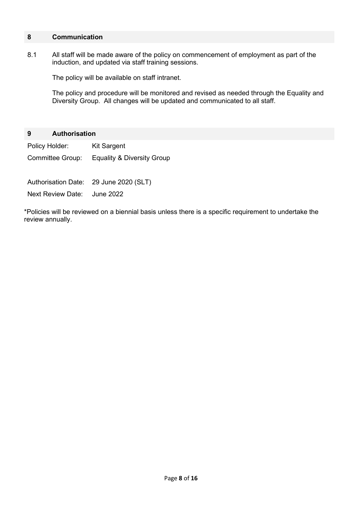## **8 Communication**

8.1 All staff will be made aware of the policy on commencement of employment as part of the induction, and updated via staff training sessions.

The policy will be available on staff intranet.

The policy and procedure will be monitored and revised as needed through the Equality and Diversity Group. All changes will be updated and communicated to all staff.

#### **9 Authorisation**

Policy Holder: Kit Sargent

Committee Group: Equality & Diversity Group

Authorisation Date: 29 June 2020 (SLT)

Next Review Date: June 2022

\*Policies will be reviewed on a biennial basis unless there is a specific requirement to undertake the review annually.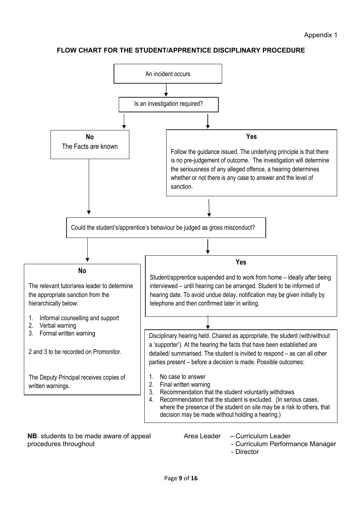## **FLOW CHART FOR THE STUDENT/APPRENTICE DISCIPLINARY PROCEDURE**



**NB**. students to be made aware of appeal procedures throughout

- Area Leader Curriculum Leader
	- Curriculum Performance Manager
	- Director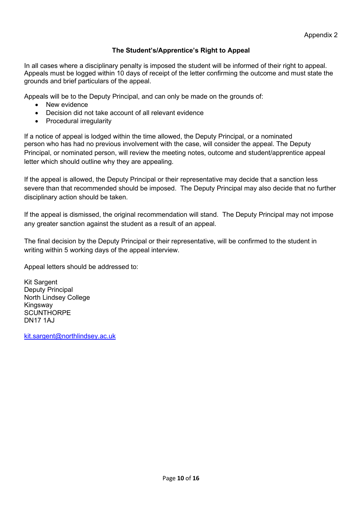## **The Student's/Apprentice's Right to Appeal**

In all cases where a disciplinary penalty is imposed the student will be informed of their right to appeal. Appeals must be logged within 10 days of receipt of the letter confirming the outcome and must state the grounds and brief particulars of the appeal.

Appeals will be to the Deputy Principal, and can only be made on the grounds of:

- New evidence
- Decision did not take account of all relevant evidence
- Procedural irregularity

If a notice of appeal is lodged within the time allowed, the Deputy Principal, or a nominated person who has had no previous involvement with the case, will consider the appeal. The Deputy Principal, or nominated person, will review the meeting notes, outcome and student/apprentice appeal letter which should outline why they are appealing.

If the appeal is allowed, the Deputy Principal or their representative may decide that a sanction less severe than that recommended should be imposed. The Deputy Principal may also decide that no further disciplinary action should be taken.

If the appeal is dismissed, the original recommendation will stand. The Deputy Principal may not impose any greater sanction against the student as a result of an appeal.

The final decision by the Deputy Principal or their representative, will be confirmed to the student in writing within 5 working days of the appeal interview.

Appeal letters should be addressed to:

Kit Sargent Deputy Principal North Lindsey College **Kingsway SCUNTHORPE** DN17 1AJ

[kit.sargent@northlindsey.ac.uk](mailto:kit.sargent@northlindsey.ac.uk)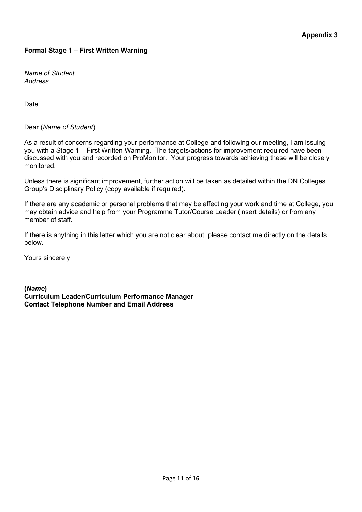## **Appendix 3**

## **Formal Stage 1 – First Written Warning**

*Name of Student Address*

Date

Dear (*Name of Student*)

As a result of concerns regarding your performance at College and following our meeting, I am issuing you with a Stage 1 – First Written Warning. The targets/actions for improvement required have been discussed with you and recorded on ProMonitor. Your progress towards achieving these will be closely monitored.

Unless there is significant improvement, further action will be taken as detailed within the DN Colleges Group's Disciplinary Policy (copy available if required).

If there are any academic or personal problems that may be affecting your work and time at College, you may obtain advice and help from your Programme Tutor/Course Leader (insert details) or from any member of staff.

If there is anything in this letter which you are not clear about, please contact me directly on the details below.

Yours sincerely

**(***Name***) Curriculum Leader/Curriculum Performance Manager Contact Telephone Number and Email Address**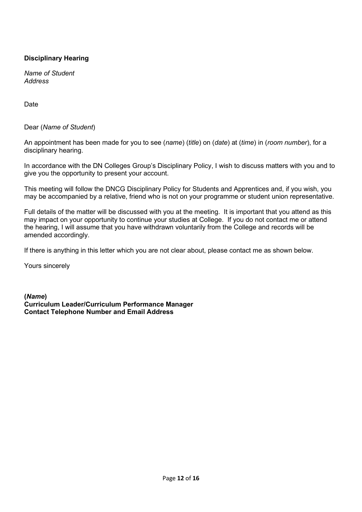## **Disciplinary Hearing**

*Name of Student Address*

Date

Dear (*Name of Student*)

An appointment has been made for you to see (*name*) (*title*) on (*date*) at (*time*) in (*room number*), for a disciplinary hearing.

In accordance with the DN Colleges Group's Disciplinary Policy, I wish to discuss matters with you and to give you the opportunity to present your account.

This meeting will follow the DNCG Disciplinary Policy for Students and Apprentices and, if you wish, you may be accompanied by a relative, friend who is not on your programme or student union representative.

Full details of the matter will be discussed with you at the meeting. It is important that you attend as this may impact on your opportunity to continue your studies at College. If you do not contact me or attend the hearing, I will assume that you have withdrawn voluntarily from the College and records will be amended accordingly.

If there is anything in this letter which you are not clear about, please contact me as shown below.

Yours sincerely

**(***Name***) Curriculum Leader/Curriculum Performance Manager Contact Telephone Number and Email Address**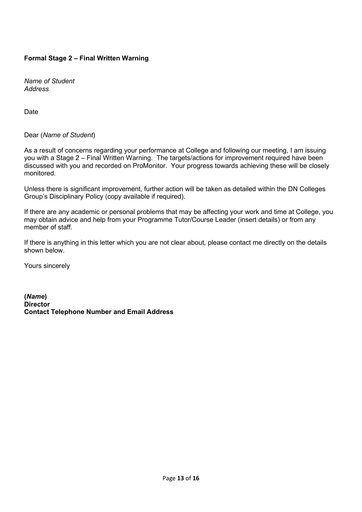## **Formal Stage 2 – Final Written Warning**

*Name of Student Address*

Date

## Dear (*Name of Student*)

As a result of concerns regarding your performance at College and following our meeting, I am issuing you with a Stage 2 – Final Written Warning. The targets/actions for improvement required have been discussed with you and recorded on ProMonitor. Your progress towards achieving these will be closely monitored.

Unless there is significant improvement, further action will be taken as detailed within the DN Colleges Group's Disciplinary Policy (copy available if required).

If there are any academic or personal problems that may be affecting your work and time at College, you may obtain advice and help from your Programme Tutor/Course Leader (insert details) or from any member of staff.

If there is anything in this letter which you are not clear about, please contact me directly on the details shown below.

Yours sincerely

**(***Name***) Director Contact Telephone Number and Email Address**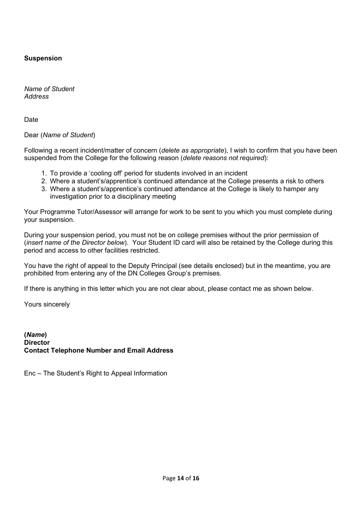## **Suspension**

*Name of Student Address*

**Date** 

Dear (*Name of Student*)

Following a recent incident/matter of concern (*delete as appropriate*), I wish to confirm that you have been suspended from the College for the following reason (*delete reasons not required*):

- 1. To provide a 'cooling off' period for students involved in an incident
- 2. Where a student's/apprentice's continued attendance at the College presents a risk to others
- 3. Where a student's/apprentice's continued attendance at the College is likely to hamper any investigation prior to a disciplinary meeting

Your Programme Tutor/Assessor will arrange for work to be sent to you which you must complete during your suspension.

During your suspension period, you must not be on college premises without the prior permission of (*insert name of the Director below*). Your Student ID card will also be retained by the College during this period and access to other facilities restricted.

You have the right of appeal to the Deputy Principal (see details enclosed) but in the meantime, you are prohibited from entering any of the DN Colleges Group's premises.

If there is anything in this letter which you are not clear about, please contact me as shown below.

Yours sincerely

**(***Name***) Director Contact Telephone Number and Email Address**

Enc – The Student's Right to Appeal Information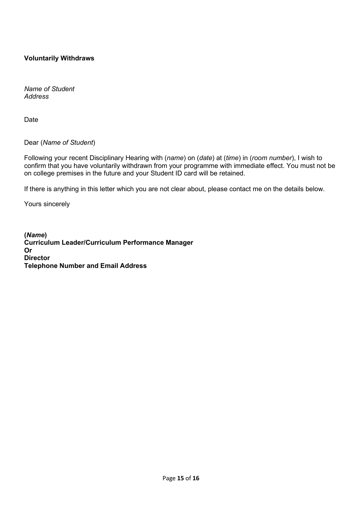## **Voluntarily Withdraws**

*Name of Student Address*

Date

Dear (*Name of Student*)

Following your recent Disciplinary Hearing with (*name*) on (*date*) at (*time*) in (*room number*), I wish to confirm that you have voluntarily withdrawn from your programme with immediate effect. You must not be on college premises in the future and your Student ID card will be retained.

If there is anything in this letter which you are not clear about, please contact me on the details below.

Yours sincerely

**(***Name***) Curriculum Leader/Curriculum Performance Manager Or Director Telephone Number and Email Address**